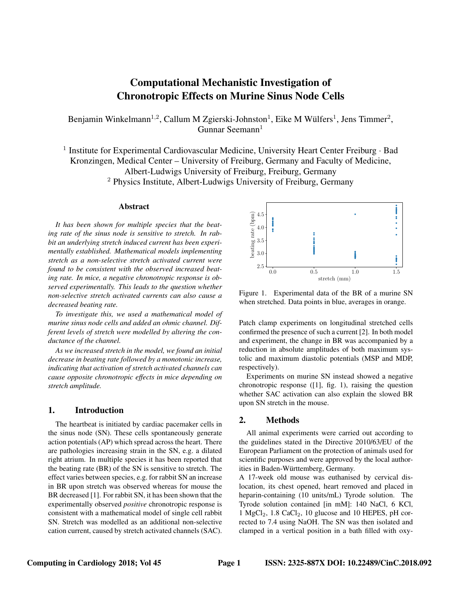# Computational Mechanistic Investigation of Chronotropic Effects on Murine Sinus Node Cells

Benjamin Winkelmann<sup>1,2</sup>, Callum M Zgierski-Johnston<sup>1</sup>, Eike M Wülfers<sup>1</sup>, Jens Timmer<sup>2</sup>, Gunnar Seemann $<sup>1</sup>$ </sup>

<sup>1</sup> Institute for Experimental Cardiovascular Medicine, University Heart Center Freiburg · Bad Kronzingen, Medical Center – University of Freiburg, Germany and Faculty of Medicine, Albert-Ludwigs University of Freiburg, Freiburg, Germany <sup>2</sup> Physics Institute, Albert-Ludwigs University of Freiburg, Germany

#### Abstract

*It has been shown for multiple species that the beating rate of the sinus node is sensitive to stretch. In rabbit an underlying stretch induced current has been experimentally established. Mathematical models implementing stretch as a non-selective stretch activated current were found to be consistent with the observed increased beating rate. In mice, a negative chronotropic response is observed experimentally. This leads to the question whether non-selective stretch activated currents can also cause a decreased beating rate.*

*To investigate this, we used a mathematical model of murine sinus node cells and added an ohmic channel. Different levels of stretch were modelled by altering the conductance of the channel.*

*As we increased stretch in the model, we found an initial decrease in beating rate followed by a monotonic increase, indicating that activation of stretch activated channels can cause opposite chronotropic effects in mice depending on stretch amplitude.*

## 1. Introduction

The heartbeat is initiated by cardiac pacemaker cells in the sinus node (SN). These cells spontaneously generate action potentials (AP) which spread across the heart. There are pathologies increasing strain in the SN, e.g. a dilated right atrium. In multiple species it has been reported that the beating rate (BR) of the SN is sensitive to stretch. The effect varies between species, e.g. for rabbit SN an increase in BR upon stretch was observed whereas for mouse the BR decreased [1]. For rabbit SN, it has been shown that the experimentally observed *positive* chronotropic response is consistent with a mathematical model of single cell rabbit SN. Stretch was modelled as an additional non-selective cation current, caused by stretch activated channels (SAC).



Figure 1. Experimental data of the BR of a murine SN when stretched. Data points in blue, averages in orange.

Patch clamp experiments on longitudinal stretched cells confirmed the presence of such a current [2]. In both model and experiment, the change in BR was accompanied by a reduction in absolute amplitudes of both maximum systolic and maximum diastolic potentials (MSP and MDP, respectively).

Experiments on murine SN instead showed a negative chronotropic response ([1], fig. 1), raising the question whether SAC activation can also explain the slowed BR upon SN stretch in the mouse.

# 2. Methods

All animal experiments were carried out according to the guidelines stated in the Directive 2010/63/EU of the European Parliament on the protection of animals used for scientific purposes and were approved by the local authorities in Baden-Württemberg, Germany.

A 17-week old mouse was euthanised by cervical dislocation, its chest opened, heart removed and placed in heparin-containing (10 units/mL) Tyrode solution. The Tyrode solution contained [in mM]: 140 NaCl, 6 KCl, 1 MgCl<sub>2</sub>, 1.8 CaCl<sub>2</sub>, 10 glucose and 10 HEPES, pH corrected to 7.4 using NaOH. The SN was then isolated and clamped in a vertical position in a bath filled with oxy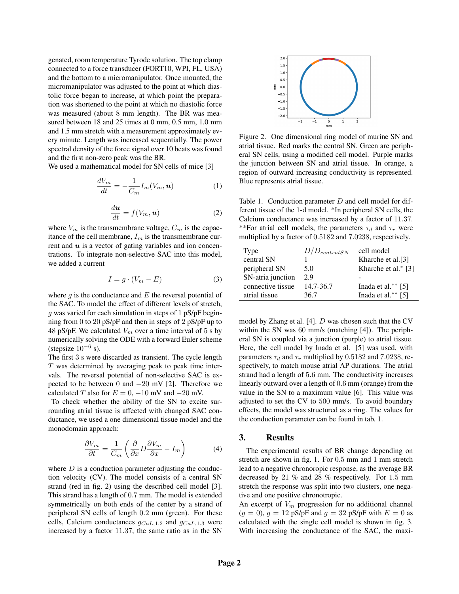genated, room temperature Tyrode solution. The top clamp connected to a force transducer (FORT10, WPI, FL, USA) and the bottom to a micromanipulator. Once mounted, the micromanipulator was adjusted to the point at which diastolic force began to increase, at which point the preparation was shortened to the point at which no diastolic force was measured (about 8 mm length). The BR was measured between 18 and 25 times at 0 mm, 0.5 mm, 1.0 mm and 1.5 mm stretch with a measurement approximately every minute. Length was increased sequentially. The power spectral density of the force signal over 10 beats was found and the first non-zero peak was the BR.

We used a mathematical model for SN cells of mice [3]

$$
\frac{dV_m}{dt} = -\frac{1}{C_m} I_m(V_m, \mathbf{u})\tag{1}
$$

$$
\frac{d\boldsymbol{u}}{dt} = f(V_m, \boldsymbol{u})\tag{2}
$$

where  $V_m$  is the transmembrane voltage,  $C_m$  is the capacitance of the cell membrane,  $I_m$  is the transmembrane current and  $u$  is a vector of gating variables and ion concentrations. To integrate non-selective SAC into this model, we added a current

$$
I = g \cdot (V_m - E) \tag{3}
$$

where  $g$  is the conductance and  $E$  the reversal potential of the SAC. To model the effect of different levels of stretch, g was varied for each simulation in steps of 1 pS/pF beginning from 0 to 20 pS/pF and then in steps of 2 pS/pF up to 48 pS/pF. We calculated  $V_m$  over a time interval of 5 s by numerically solving the ODE with a forward Euler scheme (stepsize  $10^{-6}$  s).

The first 3 s were discarded as transient. The cycle length  $T$  was determined by averaging peak to peak time intervals. The reversal potential of non-selective SAC is expected to be between 0 and  $-20$  mV [2]. Therefore we calculated T also for  $E = 0$ ,  $-10$  mV and  $-20$  mV.

To check whether the ability of the SN to excite surrounding atrial tissue is affected with changed SAC conductance, we used a one dimensional tissue model and the monodomain approach:

$$
\frac{\partial V_m}{\partial t} = \frac{1}{C_m} \left( \frac{\partial}{\partial x} D \frac{\partial V_m}{\partial x} - I_m \right) \tag{4}
$$

where  $D$  is a conduction parameter adjusting the conduction velocity (CV). The model consists of a central SN strand (red in fig. 2) using the described cell model [3]. This strand has a length of 0.7 mm. The model is extended symmetrically on both ends of the center by a strand of peripheral SN cells of length 0.2 mm (green). For these cells, Calcium conductances  $g_{CaL,1.2}$  and  $g_{CaL,1.3}$  were increased by a factor 11.37, the same ratio as in the SN



Figure 2. One dimensional ring model of murine SN and atrial tissue. Red marks the central SN. Green are peripheral SN cells, using a modified cell model. Purple marks the junction between SN and atrial tissue. In orange, a region of outward increasing conductivity is represented. Blue represents atrial tissue.

Table 1. Conduction parameter  $D$  and cell model for different tissue of the 1-d model. \*In peripheral SN cells, the Calcium conductance was increased by a factor of 11.37. \*\*For atrial cell models, the parameters  $\tau_d$  and  $\tau_r$  were multiplied by a factor of 0.5182 and 7.0238, respectively.

| Type              | $D/D_{centralSN}$ | cell model                    |
|-------------------|-------------------|-------------------------------|
| central SN        |                   | Kharche et al. <sup>[3]</sup> |
| peripheral SN     | 5.0               | Kharche et al.* [3]           |
| SN-atria junction | 29                |                               |
| connective tissue | 14.7-36.7         | Inada et al. $**$ [5]         |
| atrial tissue     | 36.7              | Inada et al. $**$ [5]         |

model by Zhang et al. [4]. D was chosen such that the CV within the SN was 60 mm/s (matching [4]). The peripheral SN is coupled via a junction (purple) to atrial tissue. Here, the cell model by Inada et al. [5] was used, with parameters  $\tau_d$  and  $\tau_r$  multiplied by 0.5182 and 7.0238, respectively, to match mouse atrial AP durations. The atrial strand had a length of 5.6 mm. The conductivity increases linearly outward over a length of 0.6 mm (orange) from the value in the SN to a maximum value [6]. This value was adjusted to set the CV to 500 mm/s. To avoid boundary effects, the model was structured as a ring. The values for the conduction parameter can be found in tab. 1.

#### 3. Results

The experimental results of BR change depending on stretch are shown in fig. 1. For 0.5 mm and 1 mm stretch lead to a negative chronoropic response, as the average BR decreased by 21 % and 28 % respectively. For 1.5 mm stretch the response was split into two clusters, one negative and one positive chronotropic.

An excerpt of  $V_m$  progression for no additional channel  $(g = 0)$ ,  $g = 12$  pS/pF and  $g = 32$  pS/pF with  $E = 0$  as calculated with the single cell model is shown in fig. 3. With increasing the conductance of the SAC, the maxi-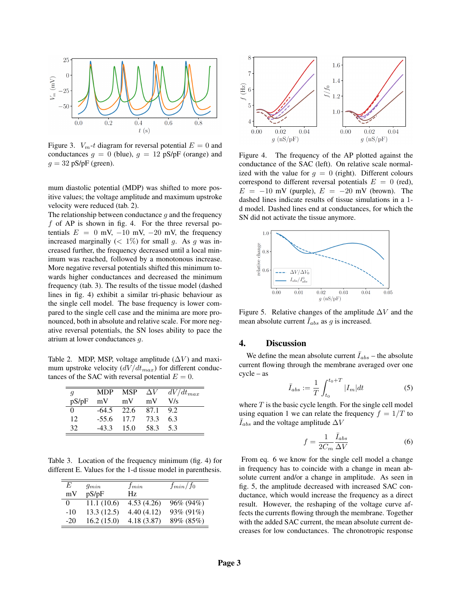

Figure 3.  $V_m$ -t diagram for reversal potential  $E = 0$  and conductances  $g = 0$  (blue),  $g = 12$  pS/pF (orange) and  $g = 32$  pS/pF (green).

mum diastolic potential (MDP) was shifted to more positive values; the voltage amplitude and maximum upstroke velocity were reduced (tab. 2).

The relationship between conductance  $g$  and the frequency f of AP is shown in fig. 4. For the three reversal potentials  $E = 0$  mV,  $-10$  mV,  $-20$  mV, the frequency increased marginally ( $\lt 1\%$ ) for small g. As g was increased further, the frequency decreased until a local minimum was reached, followed by a monotonous increase. More negative reversal potentials shifted this minimum towards higher conductances and decreased the minimum frequency (tab. 3). The results of the tissue model (dashed lines in fig. 4) exhibit a similar tri-phasic behaviour as the single cell model. The base frequency is lower compared to the single cell case and the minima are more pronounced, both in absolute and relative scale. For more negative reversal potentials, the SN loses ability to pace the atrium at lower conductances g.

Table 2. MDP, MSP, voltage amplitude  $(\Delta V)$  and maximum upstroke velocity  $\left(\frac{dV}{dt_{max}}\right)$  for different conductances of the SAC with reversal potential  $E = 0$ .

| q     |              |       |        | MDP MSP $\Delta V$ $dV/dt_{max}$ |
|-------|--------------|-------|--------|----------------------------------|
| pS/pF | mV           | mV    | mV     | V/s                              |
| 0     | $-64.5$ 22.6 |       | - 87.1 | 9.2                              |
| 12    | $-55.6$      | 17.7  | 73.3   | 6.3                              |
| 32    | $-43.3$      | -15.0 | 58.3   | 5.3                              |

Table 3. Location of the frequency minimum (fig. 4) for different E. Values for the 1-d tissue model in parenthesis.

| E     | $g_{min}$  | $f_{min}$  | $f_{min}/f_0$ |
|-------|------------|------------|---------------|
| mV    | pS/pF      | Hz         |               |
| 0     | 11.1(10.6) | 4.53(4.26) | 96% (94%)     |
| $-10$ | 13.3(12.5) | 4.40(4.12) | 93% (91%)     |
| $-20$ | 16.2(15.0) | 4.18(3.87) | 89% (85%)     |



Figure 4. The frequency of the AP plotted against the conductance of the SAC (left). On relative scale normalized with the value for  $g = 0$  (right). Different colours correspond to different reversal potentials  $E = 0$  (red),  $E = -10$  mV (purple),  $E = -20$  mV (brown). The dashed lines indicate results of tissue simulations in a 1 d model. Dashed lines end at conductances, for which the SN did not activate the tissue anymore.



Figure 5. Relative changes of the amplitude  $\Delta V$  and the mean absolute current  $\bar{I}_{abs}$  as g is increased.

## 4. Discussion

We define the mean absolute current  $\bar{I}_{abs}$  – the absolute current flowing through the membrane averaged over one cycle – as

$$
\bar{I}_{abs} := \frac{1}{T} \int_{t_0}^{t_0 + T} |I_m| dt
$$
 (5)

where  $T$  is the basic cycle length. For the single cell model using equation 1 we can relate the frequency  $f = 1/T$  to  $\bar{I}_{abs}$  and the voltage amplitude  $\Delta V$ 

$$
f = \frac{1}{2C_m} \frac{\bar{I}_{abs}}{\Delta V}
$$
 (6)

From eq. 6 we know for the single cell model a change in frequency has to coincide with a change in mean absolute current and/or a change in amplitude. As seen in fig. 5, the amplitude decreased with increased SAC conductance, which would increase the frequency as a direct result. However, the reshaping of the voltage curve affects the currents flowing through the membrane. Together with the added SAC current, the mean absolute current decreases for low conductances. The chronotropic response